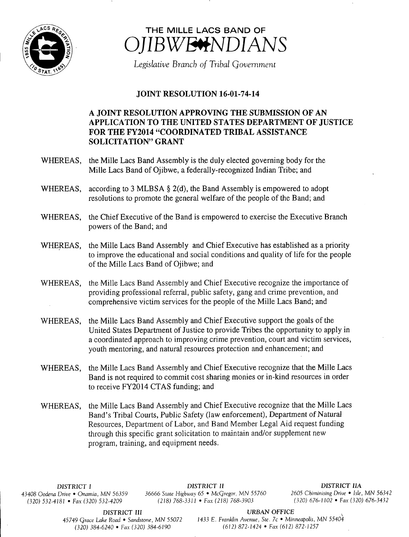



Legislative Branch of Tribal Government

## **JOINT RESOLUTION 16-01-74-14**

## A JOINT RESOLUTION APPROVING THE SUBMISSION OF AN APPLICATION TO THE UNITED STATES DEPARTMENT OF JUSTICE FOR THE FY2014 "COORDINATED TRIBAL ASSISTANCE SOLICITATION" GRANT

- WHEREAS, the Mille Lacs Band Assembly is the duly elected governing body for the Mille Lacs Band of Ojibwe, a federally-recognized Indian Tribe; and
- WHEREAS, according to 3 MLBSA  $\S$  2(d), the Band Assembly is empowered to adopt resolutions to promote the general welfare of the people of the Band; and
- WHEREAS, the Chief Executive of the Band is empowered to exercise the Executive Branch powers of the Band; and
- WHEREAS, the Mille Lacs Band Assembly and Chief Executive has established as <sup>a</sup> priority to improve the educational and social conditions and quality of life for the people of the Mille Lacs Band of Ojibwe; and
- WHEREAS, the Mille Lacs Band Assembly and Chief Executive recognize the importance of providing professional referral, public safety, gang and crime prevention, and comprehensive victim services for the people of the Mille Lacs Band; and
- WHEREAS, the Mille Lacs Band Assembly and Chief Executive support the goals of the United States Department of Justice to provide Tribes the opportunity to apply in a coordinated approach to improving crime prevention, court and victim services, youth mentoring, and natural resources protection and enhancement; and
- WHEREAS, the Mille Lacs Band Assembly and Chief Executive recognize that the Mille Lacs Band is not required to commit cost sharing monies or in-kind resources in order to receive FY2014 CTAS funding; and
- WHEREAS, the Mille Lacs Band Assembly and Chief Executive recognize that the Mille Lacs Band's Tribal Courts, Public Safety (law enforcement), Department of Natural Resources, Department of Labor, and Band Member Legal Aid request funding through this specific grant solicitation to maintain and/or supplement new program, training, and equipment needs.

DISTRICT I DISTRICT II DISTRICT IIA <sup>43408</sup> Oodena Drive • Onamia, MN <sup>56359</sup> <sup>36666</sup> State Highway 65 • McGregor, MN <sup>55760</sup> <sup>2605</sup> Chiminising Drive • Isle, MN <sup>56342</sup>  $(320) 532-4181$  • Fax $(320) 532-4209$   $(218) 768-3311$  • Fax $(218) 768-3903$ 

DISTRICT III URBAN OFFICE<br>45749 Grace Lake Road • Sandstone, MN 55072 1433 E. Franklin Avenue, Ste. 7c • Min  $(320)$  384-6240 • Fax $(320)$  384-6190

1433 E. Franklin Avenue, Ste. 7c • Minneapolis, MN 55404<br>(612) 872-1424 • Fax (612) 872-1257